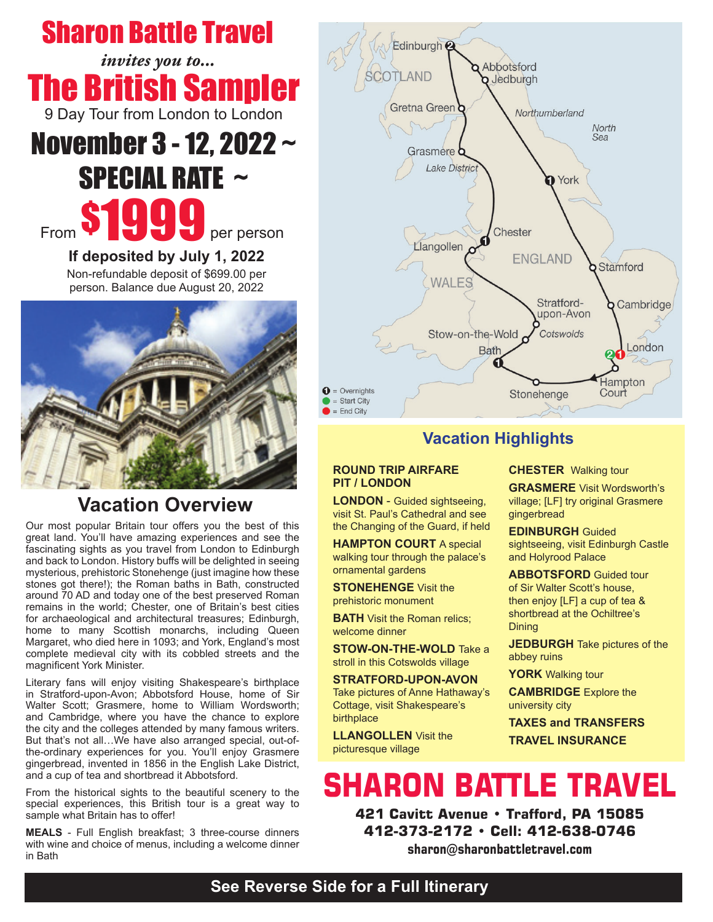## Sharon Battle Travel

The British Sampler 9 Day Tour from London to London *invites you to...*

# November 3 - 12, 2022 ~ SPECIAL RATE ~ From **\$1999** per person

**If deposited by July 1, 2022** Non-refundable deposit of \$699.00 per person. Balance due August 20, 2022



## **Vacation Overview**

Our most popular Britain tour offers you the best of this great land. You'll have amazing experiences and see the fascinating sights as you travel from London to Edinburgh and back to London. History buffs will be delighted in seeing mysterious, prehistoric Stonehenge (just imagine how these stones got there!); the Roman baths in Bath, constructed around 70 AD and today one of the best preserved Roman remains in the world; Chester, one of Britain's best cities for archaeological and architectural treasures; Edinburgh, home to many Scottish monarchs, including Queen Margaret, who died here in 1093; and York, England's most complete medieval city with its cobbled streets and the magnificent York Minister.

Literary fans will enjoy visiting Shakespeare's birthplace in Stratford-upon-Avon; Abbotsford House, home of Sir Walter Scott; Grasmere, home to William Wordsworth; and Cambridge, where you have the chance to explore the city and the colleges attended by many famous writers. But that's not all…We have also arranged special, out-ofthe-ordinary experiences for you. You'll enjoy Grasmere gingerbread, invented in 1856 in the English Lake District, and a cup of tea and shortbread it Abbotsford.

From the historical sights to the beautiful scenery to the special experiences, this British tour is a great way to sample what Britain has to offer!

**MEALS** - Full English breakfast; 3 three-course dinners with wine and choice of menus, including a welcome dinner in Bath



### **Vacation Highlights**

#### **ROUND TRIP AIRFARE PIT / LONDON**

**LONDON** - Guided sightseeing, visit St. Paul's Cathedral and see the Changing of the Guard, if held

**HAMPTON COURT** A special walking tour through the palace's ornamental gardens

**STONEHENGE** Visit the prehistoric monument

**BATH** Visit the Roman relics; welcome dinner

**STOW-ON-THE-WOLD** Take a stroll in this Cotswolds village

**STRATFORD-UPON-AVON** Take pictures of Anne Hathaway's Cottage, visit Shakespeare's birthplace

**LLANGOLLEN** Visit the picturesque village

#### **CHESTER** Walking tour

**GRASMERE** Visit Wordsworth's village; [LF] try original Grasmere gingerbread

**EDINBURGH** Guided sightseeing, visit Edinburgh Castle and Holyrood Palace

**ABBOTSFORD** Guided tour of Sir Walter Scott's house, then enjoy [LF] a cup of tea & shortbread at the Ochiltree's Dining

**JEDBURGH** Take pictures of the abbey ruins

**YORK** Walking tour

**CAMBRIDGE** Explore the university city

**TAXES and TRANSFERS TRAVEL INSURANCE**

## **SHARON BATTLE TRAVEL**

**421 Cavitt Avenue • Trafford, PA 15085 412-373-2172 • Cell: 412-638-0746 sharon@sharonbattletravel.com**